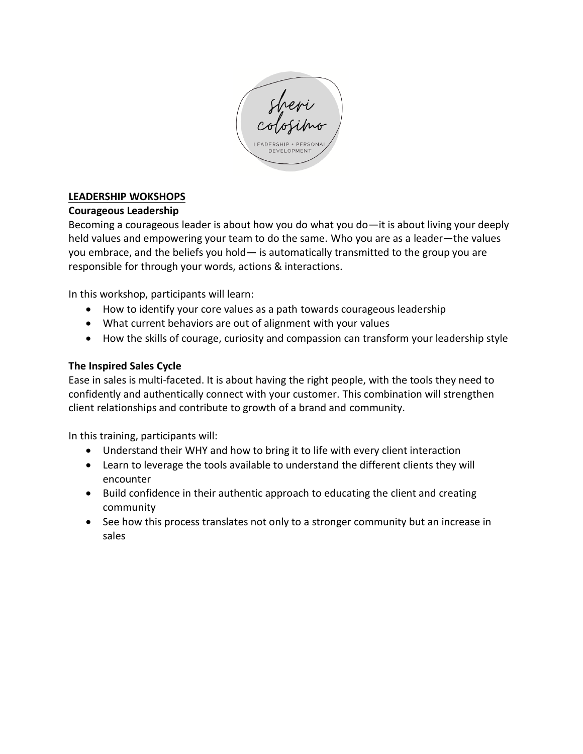

# **LEADERSHIP WOKSHOPS**

# **Courageous Leadership**

Becoming a courageous leader is about how you do what you do—it is about living your deeply held values and empowering your team to do the same. Who you are as a leader—the values you embrace, and the beliefs you hold— is automatically transmitted to the group you are responsible for through your words, actions & interactions.

In this workshop, participants will learn:

- How to identify your core values as a path towards courageous leadership
- What current behaviors are out of alignment with your values
- How the skills of courage, curiosity and compassion can transform your leadership style

# **The Inspired Sales Cycle**

Ease in sales is multi-faceted. It is about having the right people, with the tools they need to confidently and authentically connect with your customer. This combination will strengthen client relationships and contribute to growth of a brand and community.

In this training, participants will:

- Understand their WHY and how to bring it to life with every client interaction
- Learn to leverage the tools available to understand the different clients they will encounter
- Build confidence in their authentic approach to educating the client and creating community
- See how this process translates not only to a stronger community but an increase in sales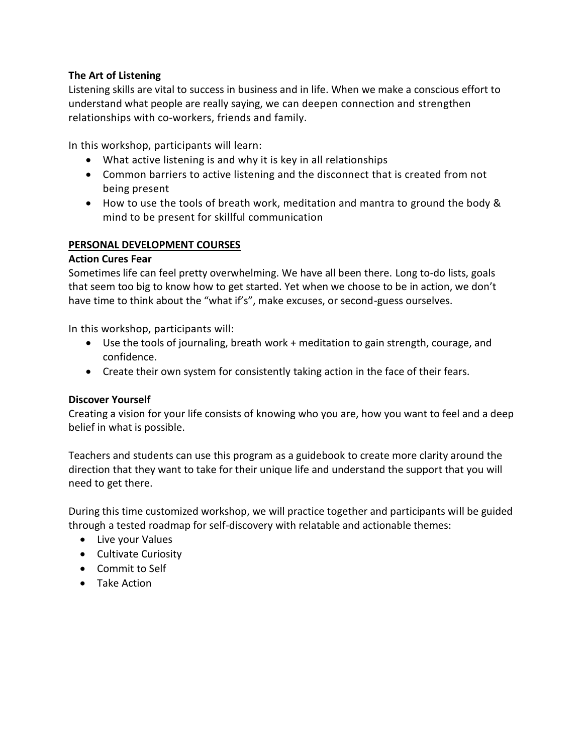## **The Art of Listening**

Listening skills are vital to success in business and in life. When we make a conscious effort to understand what people are really saying, we can deepen connection and strengthen relationships with co-workers, friends and family.

In this workshop, participants will learn:

- What active listening is and why it is key in all relationships
- Common barriers to active listening and the disconnect that is created from not being present
- How to use the tools of breath work, meditation and mantra to ground the body & mind to be present for skillful communication

#### **PERSONAL DEVELOPMENT COURSES**

#### **Action Cures Fear**

Sometimes life can feel pretty overwhelming. We have all been there. Long to-do lists, goals that seem too big to know how to get started. Yet when we choose to be in action, we don't have time to think about the "what if's", make excuses, or second-guess ourselves.

In this workshop, participants will:

- Use the tools of journaling, breath work + meditation to gain strength, courage, and confidence.
- Create their own system for consistently taking action in the face of their fears.

#### **Discover Yourself**

Creating a vision for your life consists of knowing who you are, how you want to feel and a deep belief in what is possible.

Teachers and students can use this program as a guidebook to create more clarity around the direction that they want to take for their unique life and understand the support that you will need to get there.

During this time customized workshop, we will practice together and participants will be guided through a tested roadmap for self-discovery with relatable and actionable themes:

- Live your Values
- Cultivate Curiosity
- Commit to Self
- Take Action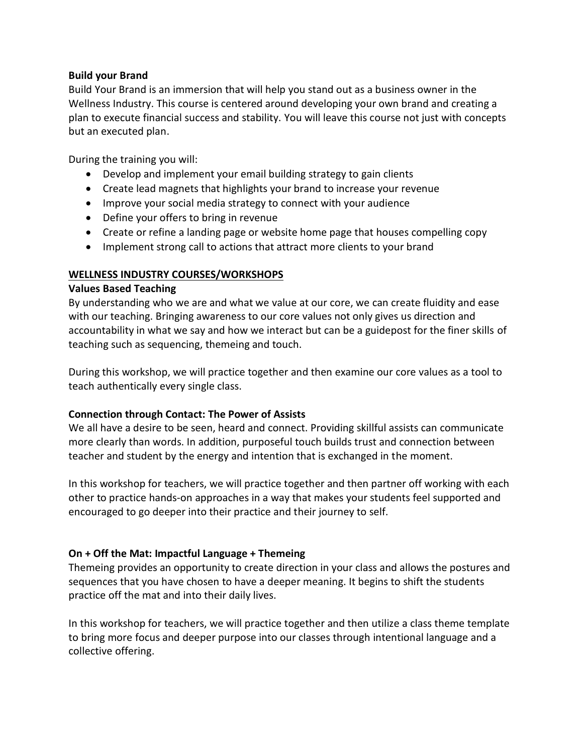#### **Build your Brand**

Build Your Brand is an immersion that will help you stand out as a business owner in the Wellness Industry. This course is centered around developing your own brand and creating a plan to execute financial success and stability. You will leave this course not just with concepts but an executed plan.

During the training you will:

- Develop and implement your email building strategy to gain clients
- Create lead magnets that highlights your brand to increase your revenue
- Improve your social media strategy to connect with your audience
- Define your offers to bring in revenue
- Create or refine a landing page or website home page that houses compelling copy
- Implement strong call to actions that attract more clients to your brand

## **WELLNESS INDUSTRY COURSES/WORKSHOPS**

## **Values Based Teaching**

By understanding who we are and what we value at our core, we can create fluidity and ease with our teaching. Bringing awareness to our core values not only gives us direction and accountability in what we say and how we interact but can be a guidepost for the finer skills of teaching such as sequencing, themeing and touch.

During this workshop, we will practice together and then examine our core values as a tool to teach authentically every single class.

# **Connection through Contact: The Power of Assists**

We all have a desire to be seen, heard and connect. Providing skillful assists can communicate more clearly than words. In addition, purposeful touch builds trust and connection between teacher and student by the energy and intention that is exchanged in the moment.

In this workshop for teachers, we will practice together and then partner off working with each other to practice hands-on approaches in a way that makes your students feel supported and encouraged to go deeper into their practice and their journey to self.

# **On + Off the Mat: Impactful Language + Themeing**

Themeing provides an opportunity to create direction in your class and allows the postures and sequences that you have chosen to have a deeper meaning. It begins to shift the students practice off the mat and into their daily lives.

In this workshop for teachers, we will practice together and then utilize a class theme template to bring more focus and deeper purpose into our classes through intentional language and a collective offering.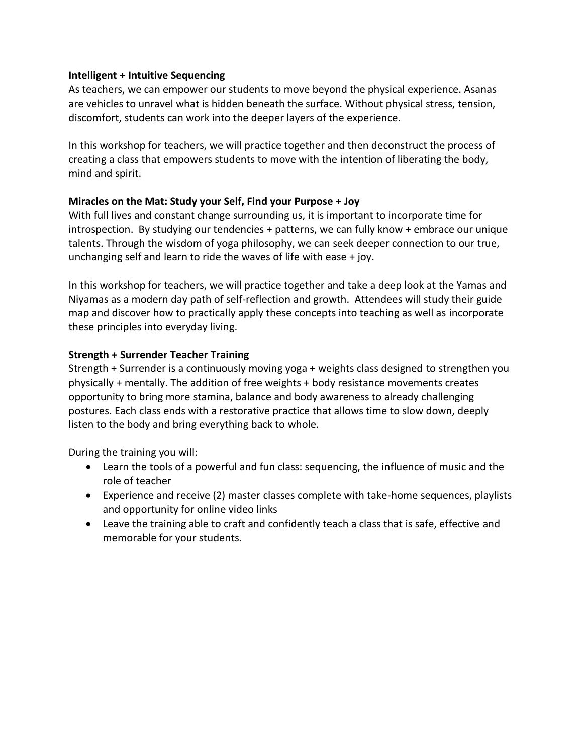#### **Intelligent + Intuitive Sequencing**

As teachers, we can empower our students to move beyond the physical experience. Asanas are vehicles to unravel what is hidden beneath the surface. Without physical stress, tension, discomfort, students can work into the deeper layers of the experience.

In this workshop for teachers, we will practice together and then deconstruct the process of creating a class that empowers students to move with the intention of liberating the body, mind and spirit.

# **Miracles on the Mat: Study your Self, Find your Purpose + Joy**

With full lives and constant change surrounding us, it is important to incorporate time for introspection. By studying our tendencies + patterns, we can fully know + embrace our unique talents. Through the wisdom of yoga philosophy, we can seek deeper connection to our true, unchanging self and learn to ride the waves of life with ease + joy.

In this workshop for teachers, we will practice together and take a deep look at the Yamas and Niyamas as a modern day path of self-reflection and growth. Attendees will study their guide map and discover how to practically apply these concepts into teaching as well as incorporate these principles into everyday living.

## **Strength + Surrender Teacher Training**

Strength + Surrender is a continuously moving yoga + weights class designed to strengthen you physically + mentally. The addition of free weights + body resistance movements creates opportunity to bring more stamina, balance and body awareness to already challenging postures. Each class ends with a restorative practice that allows time to slow down, deeply listen to the body and bring everything back to whole.

During the training you will:

- Learn the tools of a powerful and fun class: sequencing, the influence of music and the role of teacher
- Experience and receive (2) master classes complete with take-home sequences, playlists and opportunity for online video links
- Leave the training able to craft and confidently teach a class that is safe, effective and memorable for your students.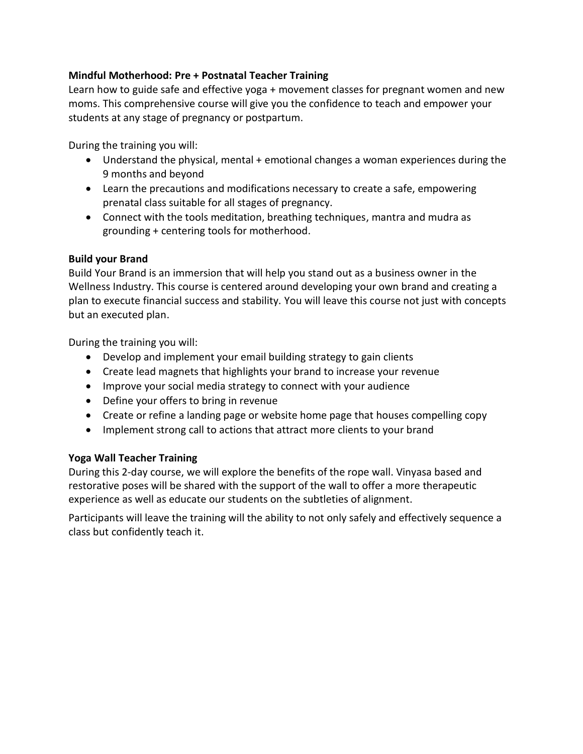# **Mindful Motherhood: Pre + Postnatal Teacher Training**

Learn how to guide safe and effective yoga + movement classes for pregnant women and new moms. This comprehensive course will give you the confidence to teach and empower your students at any stage of pregnancy or postpartum.

During the training you will:

- Understand the physical, mental + emotional changes a woman experiences during the 9 months and beyond
- Learn the precautions and modifications necessary to create a safe, empowering prenatal class suitable for all stages of pregnancy.
- Connect with the tools meditation, breathing techniques, mantra and mudra as grounding + centering tools for motherhood.

## **Build your Brand**

Build Your Brand is an immersion that will help you stand out as a business owner in the Wellness Industry. This course is centered around developing your own brand and creating a plan to execute financial success and stability. You will leave this course not just with concepts but an executed plan.

During the training you will:

- Develop and implement your email building strategy to gain clients
- Create lead magnets that highlights your brand to increase your revenue
- Improve your social media strategy to connect with your audience
- Define your offers to bring in revenue
- Create or refine a landing page or website home page that houses compelling copy
- Implement strong call to actions that attract more clients to your brand

# **Yoga Wall Teacher Training**

During this 2-day course, we will explore the benefits of the rope wall. Vinyasa based and restorative poses will be shared with the support of the wall to offer a more therapeutic experience as well as educate our students on the subtleties of alignment.

Participants will leave the training will the ability to not only safely and effectively sequence a class but confidently teach it.